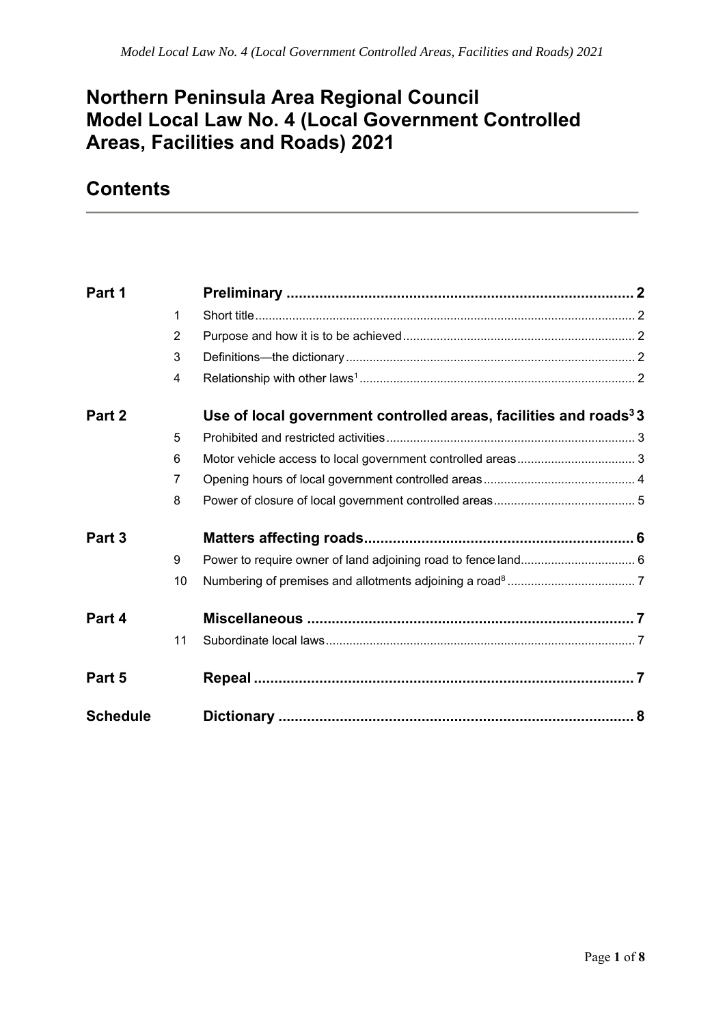# **Northern Peninsula Area Regional Council Model Local Law No. 4 (Local Government Controlled Areas, Facilities and Roads) 2021**

# **Contents**

| Part 1          |                |                                                                               |  |
|-----------------|----------------|-------------------------------------------------------------------------------|--|
|                 | 1              |                                                                               |  |
|                 | $\overline{2}$ |                                                                               |  |
|                 | 3              |                                                                               |  |
|                 | 4              |                                                                               |  |
| Part 2          |                | Use of local government controlled areas, facilities and roads <sup>3</sup> 3 |  |
|                 | 5              |                                                                               |  |
|                 | 6              |                                                                               |  |
|                 | 7              |                                                                               |  |
|                 | 8              |                                                                               |  |
| Part 3          |                |                                                                               |  |
|                 | 9              |                                                                               |  |
|                 | 10             |                                                                               |  |
| Part 4          |                |                                                                               |  |
|                 | 11             |                                                                               |  |
| Part 5          |                |                                                                               |  |
| <b>Schedule</b> |                |                                                                               |  |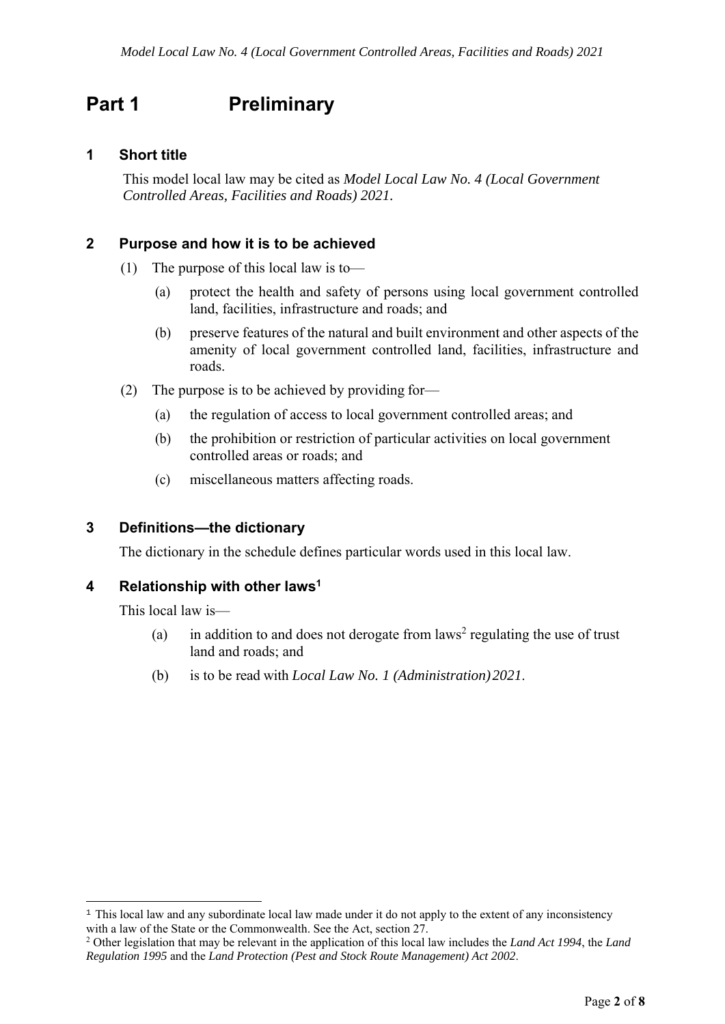## **Part 1** Preliminary

## **1 Short title**

This model local law may be cited as *Model Local Law No. 4 (Local Government Controlled Areas, Facilities and Roads) 2021.* 

## **2 Purpose and how it is to be achieved**

- (1) The purpose of this local law is to—
	- (a) protect the health and safety of persons using local government controlled land, facilities, infrastructure and roads; and
	- (b) preserve features of the natural and built environment and other aspects of the amenity of local government controlled land, facilities, infrastructure and roads.
- (2) The purpose is to be achieved by providing for—
	- (a) the regulation of access to local government controlled areas; and
	- (b) the prohibition or restriction of particular activities on local government controlled areas or roads; and
	- (c) miscellaneous matters affecting roads.

### **3 Definitions—the dictionary**

The dictionary in the schedule defines particular words used in this local law.

## **4 Relationship with other laws1**

This local law is—

- (a) in addition to and does not derogate from laws<sup>2</sup> regulating the use of trust land and roads; and
- (b) is to be read with *Local Law No. 1 (Administration) 2021*.

<sup>&</sup>lt;sup>1</sup> This local law and any subordinate local law made under it do not apply to the extent of any inconsistency with a law of the State or the Commonwealth. See the Act, section 27.

Other legislation that may be relevant in the application of this local law includes the *Land Act 1994*, the *Land Regulation 1995* and the *Land Protection (Pest and Stock Route Management) Act 2002*.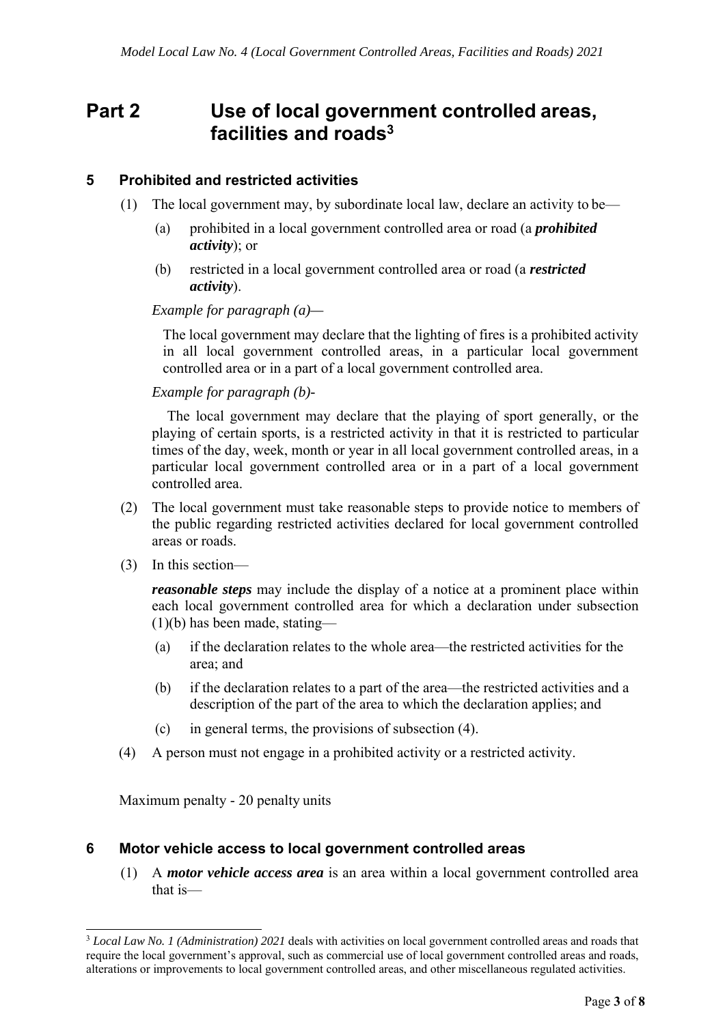## **Part 2 Use of local government controlled areas, facilities and roads3**

### **5 Prohibited and restricted activities**

- (1) The local government may, by subordinate local law, declare an activity to be—
	- (a) prohibited in a local government controlled area or road (a *prohibited activity*); or
	- (b) restricted in a local government controlled area or road (a *restricted activity*).

### *Example for paragraph (a)—*

The local government may declare that the lighting of fires is a prohibited activity in all local government controlled areas, in a particular local government controlled area or in a part of a local government controlled area.

#### *Example for paragraph (b)-*

The local government may declare that the playing of sport generally, or the playing of certain sports, is a restricted activity in that it is restricted to particular times of the day, week, month or year in all local government controlled areas, in a particular local government controlled area or in a part of a local government controlled area.

- (2) The local government must take reasonable steps to provide notice to members of the public regarding restricted activities declared for local government controlled areas or roads.
- (3) In this section—

*reasonable steps* may include the display of a notice at a prominent place within each local government controlled area for which a declaration under subsection (1)(b) has been made, stating—

- (a) if the declaration relates to the whole area—the restricted activities for the area; and
- (b) if the declaration relates to a part of the area—the restricted activities and a description of the part of the area to which the declaration applies; and
- (c) in general terms, the provisions of subsection (4).
- (4) A person must not engage in a prohibited activity or a restricted activity.

Maximum penalty - 20 penalty units

### **6 Motor vehicle access to local government controlled areas**

(1) A *motor vehicle access area* is an area within a local government controlled area that is—

<sup>&</sup>lt;sup>3</sup> *Local Law No. 1 (Administration) 2021* deals with activities on local government controlled areas and roads that require the local government's approval, such as commercial use of local government controlled areas and roads, alterations or improvements to local government controlled areas, and other miscellaneous regulated activities.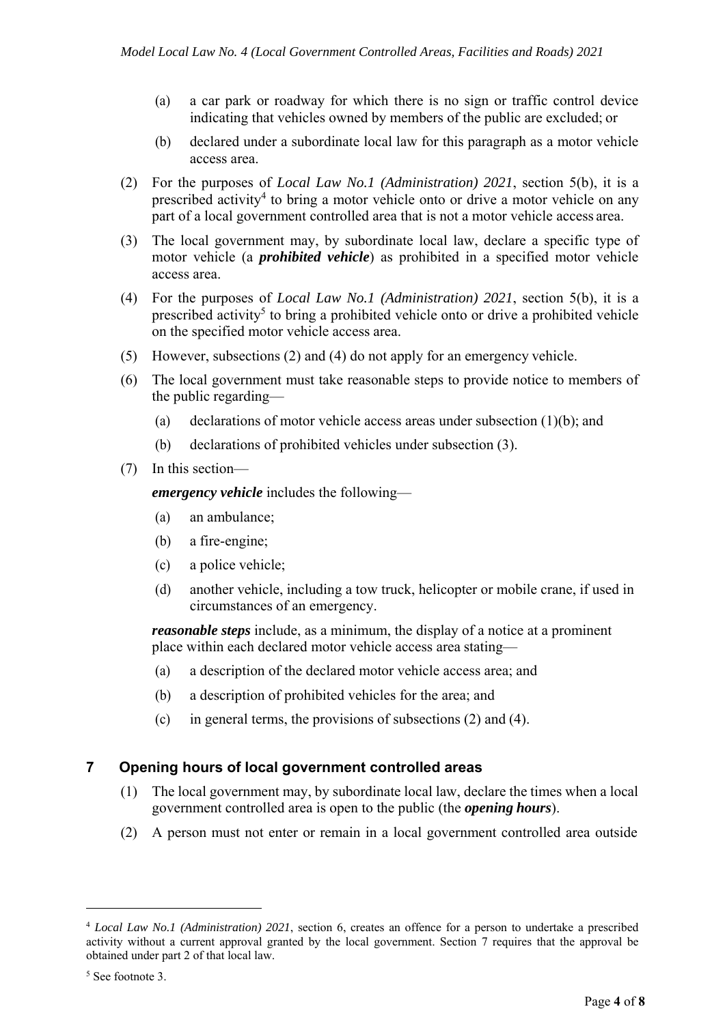- (a) a car park or roadway for which there is no sign or traffic control device indicating that vehicles owned by members of the public are excluded; or
- (b) declared under a subordinate local law for this paragraph as a motor vehicle access area.
- (2) For the purposes of *Local Law No.1 (Administration) 2021*, section 5(b), it is a prescribed activity<sup>4</sup> to bring a motor vehicle onto or drive a motor vehicle on any part of a local government controlled area that is not a motor vehicle access area.
- (3) The local government may, by subordinate local law, declare a specific type of motor vehicle (a *prohibited vehicle*) as prohibited in a specified motor vehicle access area.
- (4) For the purposes of *Local Law No.1 (Administration) 2021*, section 5(b), it is a prescribed activity<sup>5</sup> to bring a prohibited vehicle onto or drive a prohibited vehicle on the specified motor vehicle access area.
- (5) However, subsections (2) and (4) do not apply for an emergency vehicle.
- (6) The local government must take reasonable steps to provide notice to members of the public regarding—
	- (a) declarations of motor vehicle access areas under subsection (1)(b); and
	- (b) declarations of prohibited vehicles under subsection (3).
- (7) In this section—

*emergency vehicle* includes the following—

- (a) an ambulance;
- (b) a fire-engine;
- (c) a police vehicle;
- (d) another vehicle, including a tow truck, helicopter or mobile crane, if used in circumstances of an emergency.

*reasonable steps* include, as a minimum, the display of a notice at a prominent place within each declared motor vehicle access area stating—

- (a) a description of the declared motor vehicle access area; and
- (b) a description of prohibited vehicles for the area; and
- (c) in general terms, the provisions of subsections (2) and (4).

## **7 Opening hours of local government controlled areas**

- (1) The local government may, by subordinate local law, declare the times when a local government controlled area is open to the public (the *opening hours*).
- (2) A person must not enter or remain in a local government controlled area outside

<sup>4</sup> *Local Law No.1 (Administration) 2021*, section 6, creates an offence for a person to undertake a prescribed activity without a current approval granted by the local government. Section 7 requires that the approval be obtained under part 2 of that local law.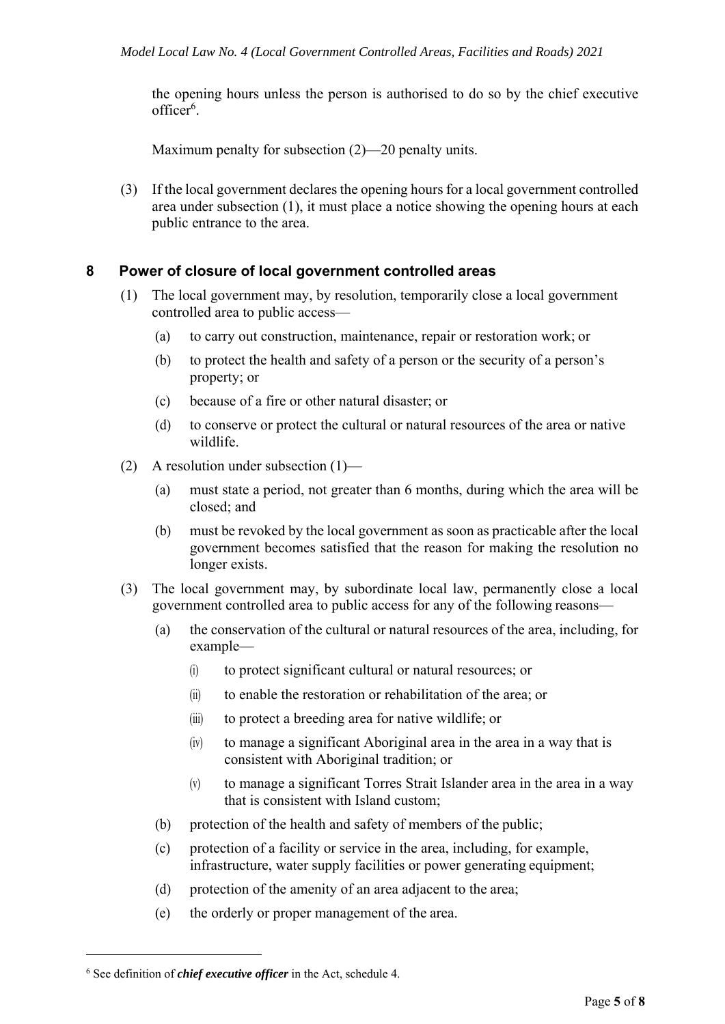the opening hours unless the person is authorised to do so by the chief executive officer<sup>6</sup>.

Maximum penalty for subsection (2)—20 penalty units.

(3) If the local government declares the opening hours for a local government controlled area under subsection (1), it must place a notice showing the opening hours at each public entrance to the area.

### **8 Power of closure of local government controlled areas**

- (1) The local government may, by resolution, temporarily close a local government controlled area to public access—
	- (a) to carry out construction, maintenance, repair or restoration work; or
	- (b) to protect the health and safety of a person or the security of a person's property; or
	- (c) because of a fire or other natural disaster; or
	- (d) to conserve or protect the cultural or natural resources of the area or native wildlife.
- (2) A resolution under subsection (1)—
	- (a) must state a period, not greater than 6 months, during which the area will be closed; and
	- (b) must be revoked by the local government as soon as practicable after the local government becomes satisfied that the reason for making the resolution no longer exists.
- (3) The local government may, by subordinate local law, permanently close a local government controlled area to public access for any of the following reasons—
	- (a) the conservation of the cultural or natural resources of the area, including, for example—
		- (i) to protect significant cultural or natural resources; or
		- (ii) to enable the restoration or rehabilitation of the area; or
		- (iii) to protect a breeding area for native wildlife; or
		- (iv) to manage a significant Aboriginal area in the area in a way that is consistent with Aboriginal tradition; or
		- (v) to manage a significant Torres Strait Islander area in the area in a way that is consistent with Island custom;
	- (b) protection of the health and safety of members of the public;
	- (c) protection of a facility or service in the area, including, for example, infrastructure, water supply facilities or power generating equipment;
	- (d) protection of the amenity of an area adjacent to the area;
	- (e) the orderly or proper management of the area.

<sup>6</sup> See definition of *chief executive officer* in the Act, schedule 4.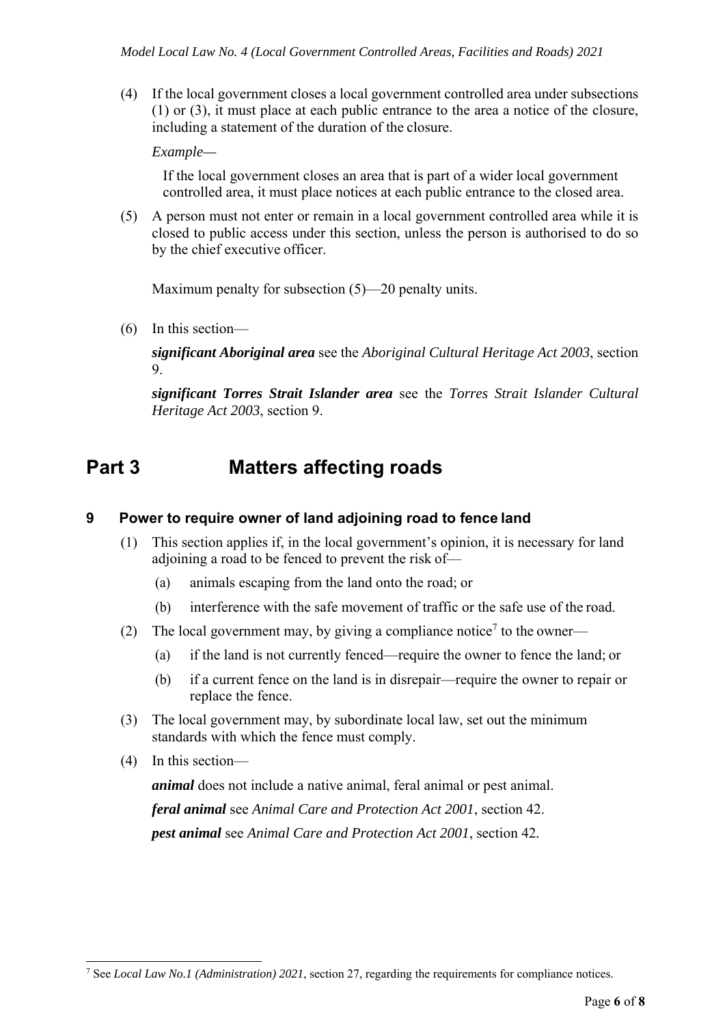(4) If the local government closes a local government controlled area under subsections (1) or (3), it must place at each public entrance to the area a notice of the closure, including a statement of the duration of the closure.

*Example—* 

If the local government closes an area that is part of a wider local government controlled area, it must place notices at each public entrance to the closed area.

(5) A person must not enter or remain in a local government controlled area while it is closed to public access under this section, unless the person is authorised to do so by the chief executive officer.

Maximum penalty for subsection (5)—20 penalty units.

(6) In this section—

*significant Aboriginal area* see the *Aboriginal Cultural Heritage Act 2003*, section 9.

*significant Torres Strait Islander area* see the *Torres Strait Islander Cultural Heritage Act 2003*, section 9.

# **Part 3 Matters affecting roads**

### **9 Power to require owner of land adjoining road to fence land**

- (1) This section applies if, in the local government's opinion, it is necessary for land adjoining a road to be fenced to prevent the risk of—
	- (a) animals escaping from the land onto the road; or
	- (b) interference with the safe movement of traffic or the safe use of the road.
- (2) The local government may, by giving a compliance notice<sup>7</sup> to the owner—
	- (a) if the land is not currently fenced—require the owner to fence the land; or
	- (b) if a current fence on the land is in disrepair—require the owner to repair or replace the fence.
- (3) The local government may, by subordinate local law, set out the minimum standards with which the fence must comply.
- (4) In this section—

*animal* does not include a native animal, feral animal or pest animal.

*feral animal* see *Animal Care and Protection Act 2001*, section 42. *pest animal* see *Animal Care and Protection Act 2001*, section 42*.* 

<sup>7</sup> See *Local Law No.1 (Administration) 2021*, section 27, regarding the requirements for compliance notices.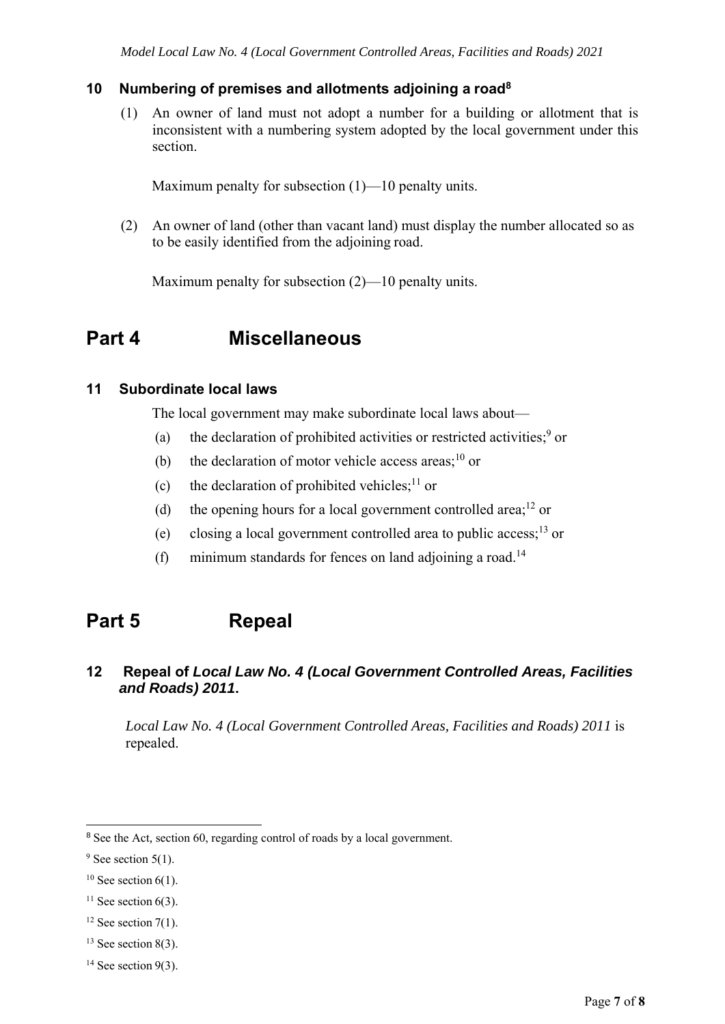### **10 Numbering of premises and allotments adjoining a road8**

(1) An owner of land must not adopt a number for a building or allotment that is inconsistent with a numbering system adopted by the local government under this section.

Maximum penalty for subsection (1)—10 penalty units.

(2) An owner of land (other than vacant land) must display the number allocated so as to be easily identified from the adjoining road.

Maximum penalty for subsection (2)—10 penalty units.

## **Part 4 Miscellaneous**

### **11 Subordinate local laws**

The local government may make subordinate local laws about—

- (a) the declaration of prohibited activities or restricted activities;<sup>9</sup> or
- (b) the declaration of motor vehicle access areas; $^{10}$  or
- (c) the declaration of prohibited vehicles;<sup>11</sup> or
- (d) the opening hours for a local government controlled area;<sup>12</sup> or
- (e) closing a local government controlled area to public access;13 or
- (f) minimum standards for fences on land adjoining a road.<sup>14</sup>

## **Part 5 Repeal**

## **12 Repeal of** *Local Law No. 4 (Local Government Controlled Areas, Facilities and Roads) 2011***.**

*Local Law No. 4 (Local Government Controlled Areas, Facilities and Roads) 2011* is repealed.

- $11$  See section 6(3).
- $12$  See section 7(1).
- $13$  See section 8(3).

<sup>&</sup>lt;sup>8</sup> See the Act, section 60, regarding control of roads by a local government.

 $9$  See section 5(1).

 $10$  See section 6(1).

 $14$  See section 9(3).